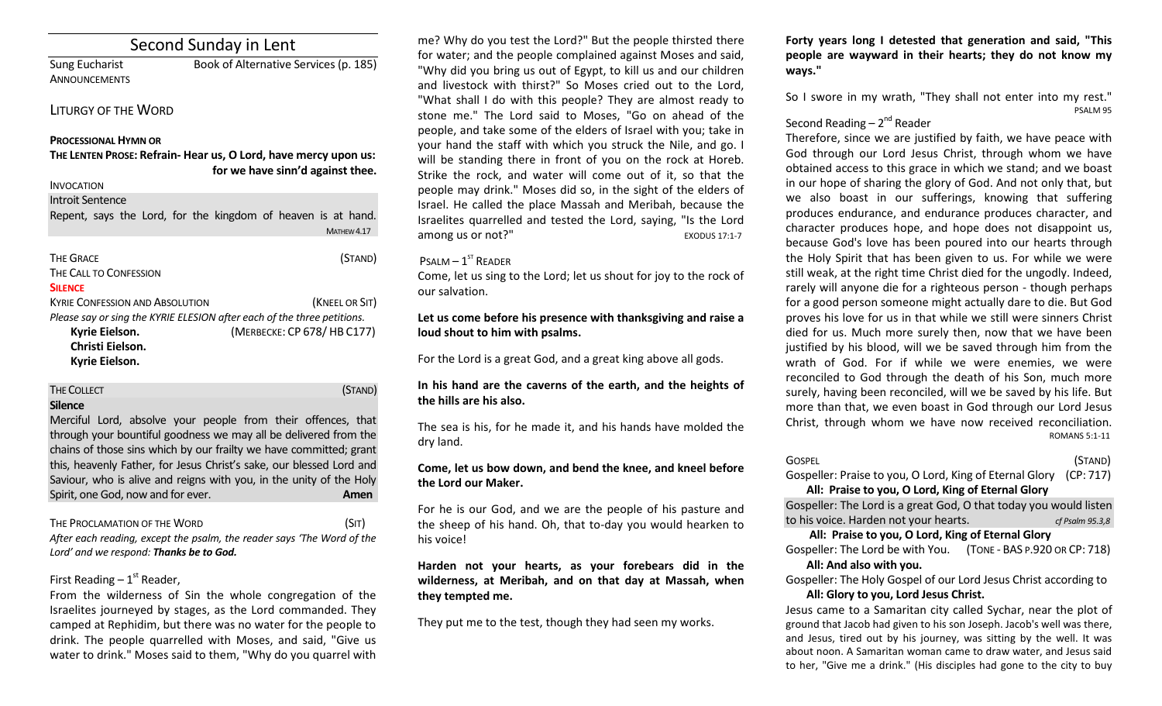# Second Sunday in Lent

ANNOUNCEMENTS

Sung Eucharist Book of Alternative Services (p. 185)

## LITURGY OF THE WORD

#### **PROCESSIONAL HYMN OR**

**THE LENTEN PROSE: Refrain- Hear us, O Lord, have mercy upon us: for we have sinn'd against thee.** 

### INVOCATION

Introit Sentence

| Repent, says the Lord, for the kingdom of heaven is at hand. |  |  |                |
|--------------------------------------------------------------|--|--|----------------|
|                                                              |  |  | MATHEW 4.17    |
|                                                              |  |  |                |
| <b>THE GRACE</b>                                             |  |  | (STAND)        |
| THE CALL TO CONFESSION                                       |  |  |                |
| <b>SILENCE</b>                                               |  |  |                |
| <b>KYRIE CONFESSION AND ABSOLUTION</b>                       |  |  | (KNEEL OR SIT) |
|                                                              |  |  |                |

|                  | Please say or sing the KYRIE ELESION after each of the three petitions. |
|------------------|-------------------------------------------------------------------------|
| Kyrie Eielson.   | (MERBECKE: CP 678/HB C177)                                              |
| Christi Eielson. |                                                                         |
|                  |                                                                         |

**Kyrie Eielson.**

# THE COLLECT **THE COLLECT COLLECT COLLECT COLLECT COLLECT COLLECT COLLECT Silence**

Merciful Lord, absolve your people from their offences, that through your bountiful goodness we may all be delivered from the chains of those sins which by our frailty we have committed; grant this, heavenly Father, for Jesus Christ's sake, our blessed Lord and Saviour, who is alive and reigns with you, in the unity of the Holy Spirit, one God, now and for ever.

## THE PROCLAMATION OF THE WORD (SIT)

*After each reading, except the psalm, the reader says 'The Word of the Lord' and we respond: Thanks be to God.* 

# First Reading  $-1<sup>st</sup>$  Reader,

From the wilderness of Sin the whole congregation of the Israelites journeyed by stages, as the Lord commanded. They camped at Rephidim, but there was no water for the people to drink. The people quarrelled with Moses, and said, "Give us water to drink." Moses said to them, "Why do you quarrel with

me? Why do you test the Lord?" But the people thirsted there for water; and the people complained against Moses and said, "Why did you bring us out of Egypt, to kill us and our children and livestock with thirst?" So Moses cried out to the Lord, "What shall I do with this people? They are almost ready to stone me." The Lord said to Moses, "Go on ahead of the people, and take some of the elders of Israel with you; take in your hand the staff with which you struck the Nile, and go. I will be standing there in front of you on the rock at Horeb. Strike the rock, and water will come out of it, so that the people may drink." Moses did so, in the sight of the elders of Israel. He called the place Massah and Meribah, because the Israelites quarrelled and tested the Lord, saying, "Is the Lord among us or not?" EXODUS 17:1-7

## $P$ SALM  $-1$ <sup>ST</sup> READER

Come, let us sing to the Lord; let us shout for joy to the rock of our salvation.

## **Let us come before his presence with thanksgiving and raise a loud shout to him with psalms.**

For the Lord is a great God, and a great king above all gods.

## **In his hand are the caverns of the earth, and the heights of the hills are his also.**

The sea is his, for he made it, and his hands have molded the dry land.

## **Come, let us bow down, and bend the knee, and kneel before the Lord our Maker.**

For he is our God, and we are the people of his pasture and the sheep of his hand. Oh, that to-day you would hearken to his voice!

**Harden not your hearts, as your forebears did in the wilderness, at Meribah, and on that day at Massah, when they tempted me.** 

They put me to the test, though they had seen my works.

**Forty years long I detested that generation and said, "This people are wayward in their hearts; they do not know my ways."**

So I swore in my wrath, "They shall not enter into my rest." PSALM 95

# Second Reading – 2<sup>nd</sup> Reader

Therefore, since we are justified by faith, we have peace with God through our Lord Jesus Christ, through whom we have obtained access to this grace in which we stand; and we boast in our hope of sharing the glory of God. And not only that, but we also boast in our sufferings, knowing that suffering produces endurance, and endurance produces character, and character produces hope, and hope does not disappoint us, because God's love has been poured into our hearts through the Holy Spirit that has been given to us. For while we were still weak, at the right time Christ died for the ungodly. Indeed, rarely will anyone die for a righteous person - though perhaps for a good person someone might actually dare to die. But God proves his love for us in that while we still were sinners Christ died for us. Much more surely then, now that we have been justified by his blood, will we be saved through him from the wrath of God. For if while we were enemies, we were reconciled to God through the death of his Son, much more surely, having been reconciled, will we be saved by his life. But more than that, we even boast in God through our Lord Jesus Christ, through whom we have now received reconciliation. ROMANS 5:1-11

| Gospel  | (STAND)    |
|---------|------------|
| _______ | $\sqrt{2}$ |

Gospeller: Praise to you, O Lord, King of Eternal Glory (CP: 717) **All: Praise to you, O Lord, King of Eternal Glory**

Gospeller: The Lord is a great God, O that today you would listen to his voice. Harden not your hearts. *cf Psalm 95.3,8*

## **All: Praise to you, O Lord, King of Eternal Glory**

Gospeller: The Lord be with You. (TONE - BAS P.920 OR CP: 718) **All: And also with you.** 

Gospeller: The Holy Gospel of our Lord Jesus Christ according to **All: Glory to you, Lord Jesus Christ.**

Jesus came to a Samaritan city called Sychar, near the plot of ground that Jacob had given to his son Joseph. Jacob's well was there, and Jesus, tired out by his journey, was sitting by the well. It was about noon. A Samaritan woman came to draw water, and Jesus said to her, "Give me a drink." (His disciples had gone to the city to buy